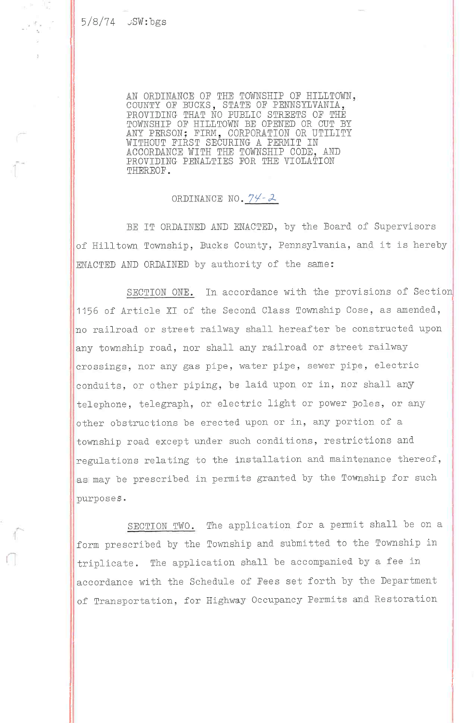e. 고 도

 $\begin{array}{cc} & \mathcal{F}_{\mathcal{R}} & \mathcal{F} \\ & \mathcal{F}_{\mathcal{R}^{\prime}} & \mathcal{F} \end{array}$ 

AN ORDINANCE OF THE TOWNSHIP OF HILLTOW. OOUNTY OF BUCKS, STATE OF PENNSYLVAN THAT NO PUBLIC STREETS OF TH OF HILli!L'OWN BE OPENED OR PROVIDI ACCORDANCE WITH THE TOWNSHIP CODE, AND PROVIDING PENALTIES FOR THE VIOLATION THEREOF.

ORDINANCE NO.  $74 - 2$ 

BE IT ORDAINED AND ENACTED, by the Board of Supervisors of Hilltown Township, Bucks County, Pennsylvania, and it is hereby ENACTED AND ORDAINED by authority of the same:

SECTION ONE. In accordance with the provisions of Section 1156 of Article XI of the Second Class Township Cose, as amended, no railroad or street railway shall hereafter be constructed upon any township road, nor shall any railroad or street railway crossings, nor any gas pipe, water pipe, sewer pipe, electric conduits, or other piping, be laid upon or in, nor shall any telephone, telegraph, or electric light or power poles, or any other obstructions be erected upon or in, any portion of a tovnship road except under such conditions, restrictions and regulations relating to the installation and maintenance thereof, as may be prescribed in permits granted by the Township for such purposes.

SECTION TWO. The application for a permit shall be on a form prescribed by the Township and submitted to the Township in triplicate. The application shall be accompanied by a fee in accordance with the Schedule of Fees set forth by the Department of Transportation, for Highway Occupancy Permits and Restoration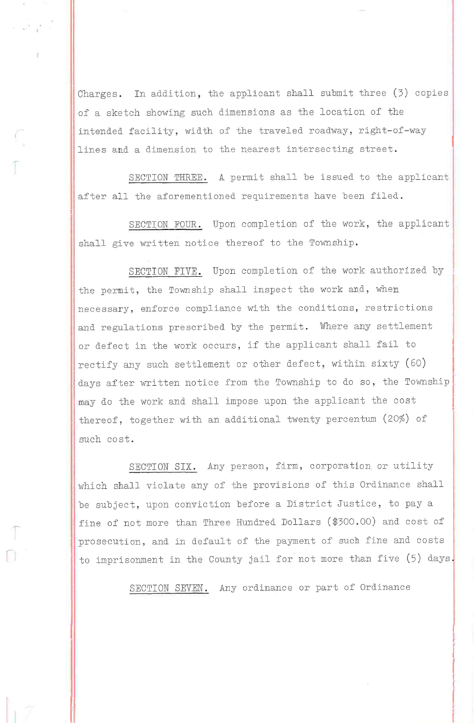Charges. In addition, the applicant shall submit three (5) copies of a sketch showing such dimensions as the location of the intended facility, width of the traveled roadway, right-of-way lines and a dimension to the nearest intersecting street.

SECTION THREE. A permit shall be issued to the applicant after all the aforementioned requirements have been filed.

-r

T

SECTION FOUR. Upon completion of the work, the applicant shall give written notice thereof to the Township.

SECTION FIVE. Upon completion of the work authorized by the permit, the Township shall inspect the work and, when necessary, enforce compliance with the conditions, restrictions and regulations prescribed by the permit. Where any settlement or defect in the work occurs, if the applicant shall fail to rectify any such settlement or other defect, within sixty (60) days after written notice from the Township to do so, the Township may do the work and shall impose upon the applicant the cost thereof, together with an additional twenty percentum (20%) of such cost.

SECTION SIX. Any person, firm, corporation or utility which shall violate any of the provisions of this Ordinance shall be subject, upon conviction before a District Justice, to pay a fine of not more than Three Hundred Dollars (\$300.00) and cost of prosecution, and in default of the payment of such fine and costs to imprisonment in the County jail for not more than five (5) days.

SECTION SEVEN. Any ordinance or part of Ordinance